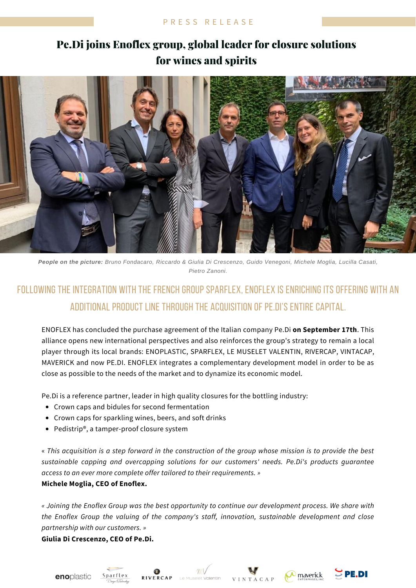### P R E S S R E L E A S E

# Pe.Di joins Enoflex group, global leader for closure solutions for wines and spirits



People on the picture: Bruno Fondacaro, Riccardo & Giulia Di Crescenzo, Guido Venegoni, Michele Moglia, Lucilla Casati, *Pietro Zanoni.*

## FOLLOWING the integration with the french group sparflex, Enoflex is enriching its offering with an additional product line through the acquisition of Pe.Di's entire capital.

ENOFLEX has concluded the purchase agreement of the Italian company Pe.Di **on September 17th**. This alliance opens new international perspectives and also reinforces the group's strategy to remain a local player through its local brands: ENOPLASTIC, SPARFLEX, LE MUSELET VALENTIN, RIVERCAP, VINTACAP, MAVERICK and now PE.DI. ENOFLEX integrates a complementary development model in order to be as close as possible to the needs of the market and to dynamize its economic model.

Pe.Di is a reference partner, leader in high quality closures for the bottling industry:

- Crown caps and bidules for second fermentation
- Crown caps for sparkling wines, beers, and soft drinks
- Pedistrip®, a tamper-proof closure system

« This acquisition is a step forward in the construction of the group whose mission is to provide the best *sustainable capping and overcapping solutions for our customers' needs. Pe.Di's products guarantee access to an ever more complete offer tailored to their requirements. »*

#### **Michele Moglia, CEO of Enoflex.**

*« Joining the Enoflex Group was the best opportunity to continue our development process. We share with the Enoflex Group the valuing of the company's staff, innovation, sustainable development and close partnership with our customers. »*

 $\mathcal{W}$ 

**Giulia Di Crescenzo, CEO of Pe.Di.**